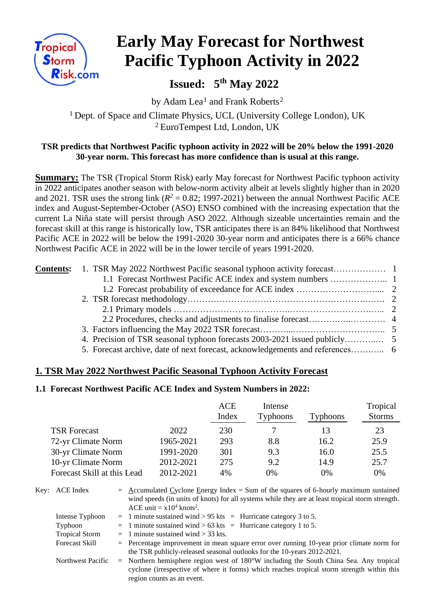

# **Early May Forecast for Northwest Pacific Typhoon Activity in 2022**

 **Issued: 5 th May 2022**

by Adam Lea<sup>1</sup> and Frank Roberts<sup>2</sup> <sup>1</sup> Dept. of Space and Climate Physics, UCL (University College London), UK <sup>2</sup>EuroTempest Ltd, London, UK

## **TSR predicts that Northwest Pacific typhoon activity in 2022 will be 20% below the 1991-2020 30-year norm. This forecast has more confidence than is usual at this range.**

**Summary:** The TSR (Tropical Storm Risk) early May forecast for Northwest Pacific typhoon activity in 2022 anticipates another season with below-norm activity albeit at levels slightly higher than in 2020 and 2021. TSR uses the strong link ( $R^2 = 0.82$ ; 1997-2021) between the annual Northwest Pacific ACE index and August-September-October (ASO) ENSO combined with the increasing expectation that the current La Niña state will persist through ASO 2022. Although sizeable uncertainties remain and the forecast skill at this range is historically low, TSR anticipates there is an 84% likelihood that Northwest Pacific ACE in 2022 will be below the 1991-2020 30-year norm and anticipates there is a 66% chance Northwest Pacific ACE in 2022 will be in the lower tercile of years 1991-2020.

## **1. TSR May 2022 Northwest Pacific Seasonal Typhoon Activity Forecast**

#### **1.1 Forecast Northwest Pacific ACE Index and System Numbers in 2022:**

|                             |           | <b>ACE</b><br>Index | Intense<br><b>Typhoons</b> | Typhoons | Tropical<br><b>Storms</b> |
|-----------------------------|-----------|---------------------|----------------------------|----------|---------------------------|
| <b>TSR Forecast</b>         | 2022      | 230                 |                            | 13       | 23                        |
| 72-yr Climate Norm          | 1965-2021 | 293                 | 8.8                        | 16.2     | 25.9                      |
| 30-yr Climate Norm          | 1991-2020 | 301                 | 9.3                        | 16.0     | 25.5                      |
| 10-yr Climate Norm          | 2012-2021 | 275                 | 9.2                        | 14.9     | 25.7                      |
| Forecast Skill at this Lead | 2012-2021 | 4%                  | 0%                         | 0%       | 0%                        |

| Key: ACE Index        |  | $=$ Accumulated Cyclone Energy Index $=$ Sum of the squares of 6-hourly maximum sustained        |
|-----------------------|--|--------------------------------------------------------------------------------------------------|
|                       |  | wind speeds (in units of knots) for all systems while they are at least tropical storm strength. |
|                       |  | ACE unit = $x10^4$ knots <sup>2</sup> .                                                          |
| Intense Typhoon       |  | $=$ 1 minute sustained wind > 95 kts = Hurricane category 3 to 5.                                |
| Typhoon               |  | $=$ 1 minute sustained wind > 63 kts = Hurricane category 1 to 5.                                |
| <b>Tropical Storm</b> |  | $=$ 1 minute sustained wind $>$ 33 kts.                                                          |
| <b>Forecast Skill</b> |  | $=$ Percentage improvement in mean square error over running 10-year prior climate norm for      |
|                       |  | the TSR publicly-released seasonal outlooks for the 10-years 2012-2021.                          |
| Northwest Pacific     |  | $=$ Northern hemisphere region west of 180°W including the South China Sea. Any tropical         |
|                       |  | cyclone (irrespective of where it forms) which reaches tropical storm strength within this       |
|                       |  | region counts as an event.                                                                       |
|                       |  |                                                                                                  |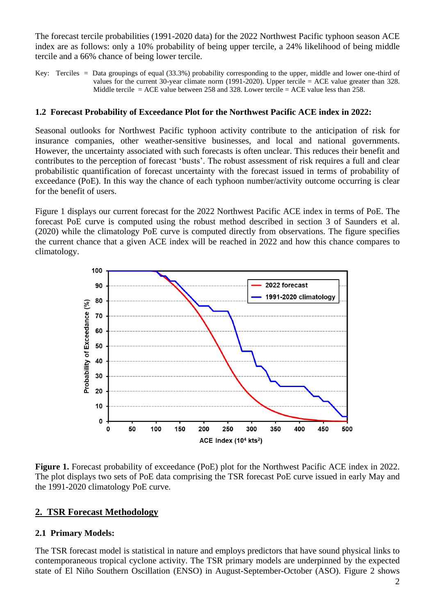The forecast tercile probabilities (1991-2020 data) for the 2022 Northwest Pacific typhoon season ACE index are as follows: only a 10% probability of being upper tercile, a 24% likelihood of being middle tercile and a 66% chance of being lower tercile.

Key: Terciles = Data groupings of equal (33.3%) probability corresponding to the upper, middle and lower one-third of values for the current 30-year climate norm (1991-2020). Upper tercile = ACE value greater than 328. Middle tercile  $=$  ACE value between 258 and 328. Lower tercile  $=$  ACE value less than 258.

#### **1.2 Forecast Probability of Exceedance Plot for the Northwest Pacific ACE index in 2022:**

Seasonal outlooks for Northwest Pacific typhoon activity contribute to the anticipation of risk for insurance companies, other weather-sensitive businesses, and local and national governments. However, the uncertainty associated with such forecasts is often unclear. This reduces their benefit and contributes to the perception of forecast 'busts'. The robust assessment of risk requires a full and clear probabilistic quantification of forecast uncertainty with the forecast issued in terms of probability of exceedance (PoE). In this way the chance of each typhoon number/activity outcome occurring is clear for the benefit of users.

Figure 1 displays our current forecast for the 2022 Northwest Pacific ACE index in terms of PoE. The forecast PoE curve is computed using the robust method described in section 3 of Saunders et al. (2020) while the climatology PoE curve is computed directly from observations. The figure specifies the current chance that a given ACE index will be reached in 2022 and how this chance compares to climatology.



**Figure 1.** Forecast probability of exceedance (PoE) plot for the Northwest Pacific ACE index in 2022. The plot displays two sets of PoE data comprising the TSR forecast PoE curve issued in early May and the 1991-2020 climatology PoE curve.

## **2. TSR Forecast Methodology**

## **2.1 Primary Models:**

The TSR forecast model is statistical in nature and employs predictors that have sound physical links to contemporaneous tropical cyclone activity. The TSR primary models are underpinned by the expected state of El Niño Southern Oscillation (ENSO) in August-September-October (ASO). Figure 2 shows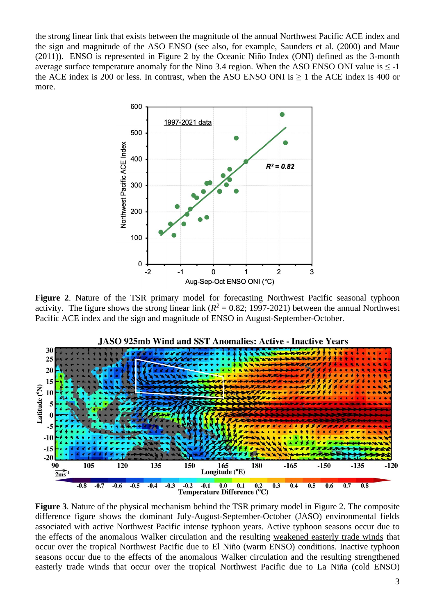the strong linear link that exists between the magnitude of the annual Northwest Pacific ACE index and the sign and magnitude of the ASO ENSO (see also, for example, Saunders et al. (2000) and Maue (2011)). ENSO is represented in Figure 2 by the Oceanic Niño Index (ONI) defined as the 3-month average surface temperature anomaly for the Nino 3.4 region. When the ASO ENSO ONI value is  $\leq$  -1 the ACE index is 200 or less. In contrast, when the ASO ENSO ONI is  $\geq 1$  the ACE index is 400 or more.



**Figure 2**. Nature of the TSR primary model for forecasting Northwest Pacific seasonal typhoon activity. The figure shows the strong linear link ( $R^2 = 0.82$ ; 1997-2021) between the annual Northwest Pacific ACE index and the sign and magnitude of ENSO in August-September-October.



**Figure 3**. Nature of the physical mechanism behind the TSR primary model in Figure 2. The composite difference figure shows the dominant July-August-September-October (JASO) environmental fields associated with active Northwest Pacific intense typhoon years. Active typhoon seasons occur due to the effects of the anomalous Walker circulation and the resulting weakened easterly trade winds that occur over the tropical Northwest Pacific due to El Niño (warm ENSO) conditions. Inactive typhoon seasons occur due to the effects of the anomalous Walker circulation and the resulting strengthened easterly trade winds that occur over the tropical Northwest Pacific due to La Niña (cold ENSO)

**JASO 925mb Wind and SST Anomalies: Active - Inactive Years**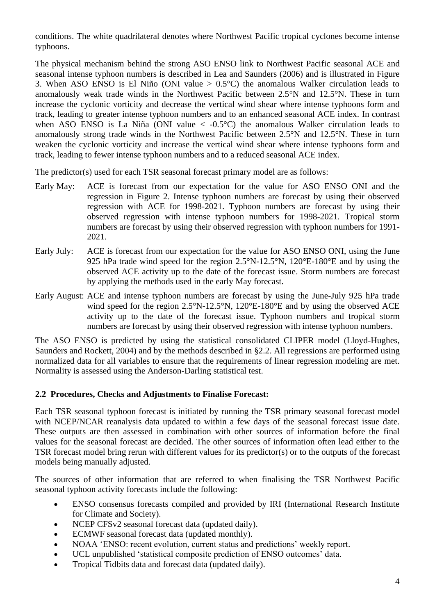conditions. The white quadrilateral denotes where Northwest Pacific tropical cyclones become intense typhoons.

The physical mechanism behind the strong ASO ENSO link to Northwest Pacific seasonal ACE and seasonal intense typhoon numbers is described in Lea and Saunders (2006) and is illustrated in Figure 3. When ASO ENSO is El Niño (ONI value  $> 0.5^{\circ}$ C) the anomalous Walker circulation leads to anomalously weak trade winds in the Northwest Pacific between 2.5°N and 12.5°N. These in turn increase the cyclonic vorticity and decrease the vertical wind shear where intense typhoons form and track, leading to greater intense typhoon numbers and to an enhanced seasonal ACE index. In contrast when ASO ENSO is La Niña (ONI value  $\langle -0.5^{\circ}$ C) the anomalous Walker circulation leads to anomalously strong trade winds in the Northwest Pacific between 2.5°N and 12.5°N. These in turn weaken the cyclonic vorticity and increase the vertical wind shear where intense typhoons form and track, leading to fewer intense typhoon numbers and to a reduced seasonal ACE index.

The predictor(s) used for each TSR seasonal forecast primary model are as follows:

- Early May: ACE is forecast from our expectation for the value for ASO ENSO ONI and the regression in Figure 2. Intense typhoon numbers are forecast by using their observed regression with ACE for 1998-2021. Typhoon numbers are forecast by using their observed regression with intense typhoon numbers for 1998-2021. Tropical storm numbers are forecast by using their observed regression with typhoon numbers for 1991- 2021.
- Early July: ACE is forecast from our expectation for the value for ASO ENSO ONI, using the June 925 hPa trade wind speed for the region 2.5°N-12.5°N, 120°E-180°E and by using the observed ACE activity up to the date of the forecast issue. Storm numbers are forecast by applying the methods used in the early May forecast.
- Early August: ACE and intense typhoon numbers are forecast by using the June-July 925 hPa trade wind speed for the region 2.5°N-12.5°N, 120°E-180°E and by using the observed ACE activity up to the date of the forecast issue. Typhoon numbers and tropical storm numbers are forecast by using their observed regression with intense typhoon numbers.

The ASO ENSO is predicted by using the statistical consolidated CLIPER model (Lloyd-Hughes, Saunders and Rockett, 2004) and by the methods described in §2.2. All regressions are performed using normalized data for all variables to ensure that the requirements of linear regression modeling are met. Normality is assessed using the Anderson-Darling statistical test.

#### **2.2 Procedures, Checks and Adjustments to Finalise Forecast:**

Each TSR seasonal typhoon forecast is initiated by running the TSR primary seasonal forecast model with NCEP/NCAR reanalysis data updated to within a few days of the seasonal forecast issue date. These outputs are then assessed in combination with other sources of information before the final values for the seasonal forecast are decided. The other sources of information often lead either to the TSR forecast model bring rerun with different values for its predictor(s) or to the outputs of the forecast models being manually adjusted.

The sources of other information that are referred to when finalising the TSR Northwest Pacific seasonal typhoon activity forecasts include the following:

- ENSO consensus forecasts compiled and provided by IRI (International Research Institute for Climate and Society).
- NCEP CFSv2 seasonal forecast data (updated daily).
- ECMWF seasonal forecast data (updated monthly).
- NOAA 'ENSO: recent evolution, current status and predictions' weekly report.
- UCL unpublished 'statistical composite prediction of ENSO outcomes' data.
- Tropical Tidbits data and forecast data (updated daily).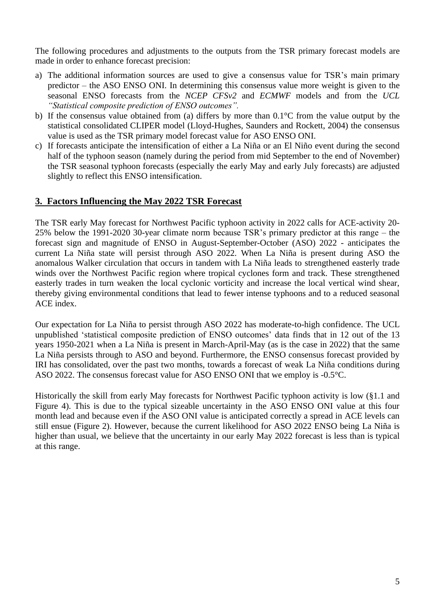The following procedures and adjustments to the outputs from the TSR primary forecast models are made in order to enhance forecast precision:

- a) The additional information sources are used to give a consensus value for TSR's main primary predictor – the ASO ENSO ONI. In determining this consensus value more weight is given to the seasonal ENSO forecasts from the *NCEP CFSv2* and *ECMWF* models and from the *UCL "Statistical composite prediction of ENSO outcomes".*
- b) If the consensus value obtained from (a) differs by more than 0.1°C from the value output by the statistical consolidated CLIPER model (Lloyd-Hughes, Saunders and Rockett, 2004) the consensus value is used as the TSR primary model forecast value for ASO ENSO ONI.
- c) If forecasts anticipate the intensification of either a La Niña or an El Niño event during the second half of the typhoon season (namely during the period from mid September to the end of November) the TSR seasonal typhoon forecasts (especially the early May and early July forecasts) are adjusted slightly to reflect this ENSO intensification.

### **3. Factors Influencing the May 2022 TSR Forecast**

The TSR early May forecast for Northwest Pacific typhoon activity in 2022 calls for ACE-activity 20- 25% below the 1991-2020 30-year climate norm because TSR's primary predictor at this range – the forecast sign and magnitude of ENSO in August-September-October (ASO) 2022 - anticipates the current La Niña state will persist through ASO 2022. When La Niña is present during ASO the anomalous Walker circulation that occurs in tandem with La Niña leads to strengthened easterly trade winds over the Northwest Pacific region where tropical cyclones form and track. These strengthened easterly trades in turn weaken the local cyclonic vorticity and increase the local vertical wind shear, thereby giving environmental conditions that lead to fewer intense typhoons and to a reduced seasonal ACE index.

Our expectation for La Niña to persist through ASO 2022 has moderate-to-high confidence. The UCL unpublished 'statistical composite prediction of ENSO outcomes' data finds that in 12 out of the 13 years 1950-2021 when a La Niña is present in March-April-May (as is the case in 2022) that the same La Niña persists through to ASO and beyond. Furthermore, the ENSO consensus forecast provided by IRI has consolidated, over the past two months, towards a forecast of weak La Niña conditions during ASO 2022. The consensus forecast value for ASO ENSO ONI that we employ is -0.5°C.

Historically the skill from early May forecasts for Northwest Pacific typhoon activity is low (§1.1 and Figure 4). This is due to the typical sizeable uncertainty in the ASO ENSO ONI value at this four month lead and because even if the ASO ONI value is anticipated correctly a spread in ACE levels can still ensue (Figure 2). However, because the current likelihood for ASO 2022 ENSO being La Niña is higher than usual, we believe that the uncertainty in our early May 2022 forecast is less than is typical at this range.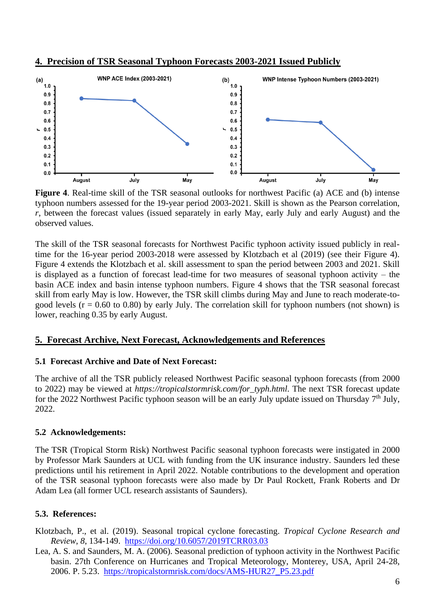



**Figure 4**. Real-time skill of the TSR seasonal outlooks for northwest Pacific (a) ACE and (b) intense typhoon numbers assessed for the 19-year period 2003-2021. Skill is shown as the Pearson correlation, *r*, between the forecast values (issued separately in early May, early July and early August) and the observed values.

The skill of the TSR seasonal forecasts for Northwest Pacific typhoon activity issued publicly in realtime for the 16-year period 2003-2018 were assessed by Klotzbach et al (2019) (see their Figure 4). Figure 4 extends the Klotzbach et al. skill assessment to span the period between 2003 and 2021. Skill is displayed as a function of forecast lead-time for two measures of seasonal typhoon activity – the basin ACE index and basin intense typhoon numbers. Figure 4 shows that the TSR seasonal forecast skill from early May is low. However, the TSR skill climbs during May and June to reach moderate-togood levels  $(r = 0.60 \text{ to } 0.80)$  by early July. The correlation skill for typhoon numbers (not shown) is lower, reaching 0.35 by early August.

#### **5. Forecast Archive, Next Forecast, Acknowledgements and References**

#### **5.1 Forecast Archive and Date of Next Forecast:**

The archive of all the TSR publicly released Northwest Pacific seasonal typhoon forecasts (from 2000 to 2022) may be viewed at *https://tropicalstormrisk.com/for\_typh.html*. The next TSR forecast update for the 2022 Northwest Pacific typhoon season will be an early July update issued on Thursday  $7<sup>th</sup>$  July, 2022.

#### **5.2 Acknowledgements:**

The TSR (Tropical Storm Risk) Northwest Pacific seasonal typhoon forecasts were instigated in 2000 by Professor Mark Saunders at UCL with funding from the UK insurance industry. Saunders led these predictions until his retirement in April 2022. Notable contributions to the development and operation of the TSR seasonal typhoon forecasts were also made by Dr Paul Rockett, Frank Roberts and Dr Adam Lea (all former UCL research assistants of Saunders).

## **5.3. References:**

Klotzbach, P., et al. (2019). Seasonal tropical cyclone forecasting. *Tropical Cyclone Research and Review*, *8*, 134-149. <https://doi.org/10.6057/2019TCRR03.03>

Lea, A. S. and Saunders, M. A. (2006). Seasonal prediction of typhoon activity in the Northwest Pacific basin. 27th Conference on Hurricanes and Tropical Meteorology, Monterey, USA, April 24-28, 2006. P. 5.23. [https://tropicalstormrisk.com/docs/AMS-HUR27\\_P5.23.pdf](https://tropicalstormrisk.com/docs/AMS-HUR27_P5.23.pdf)